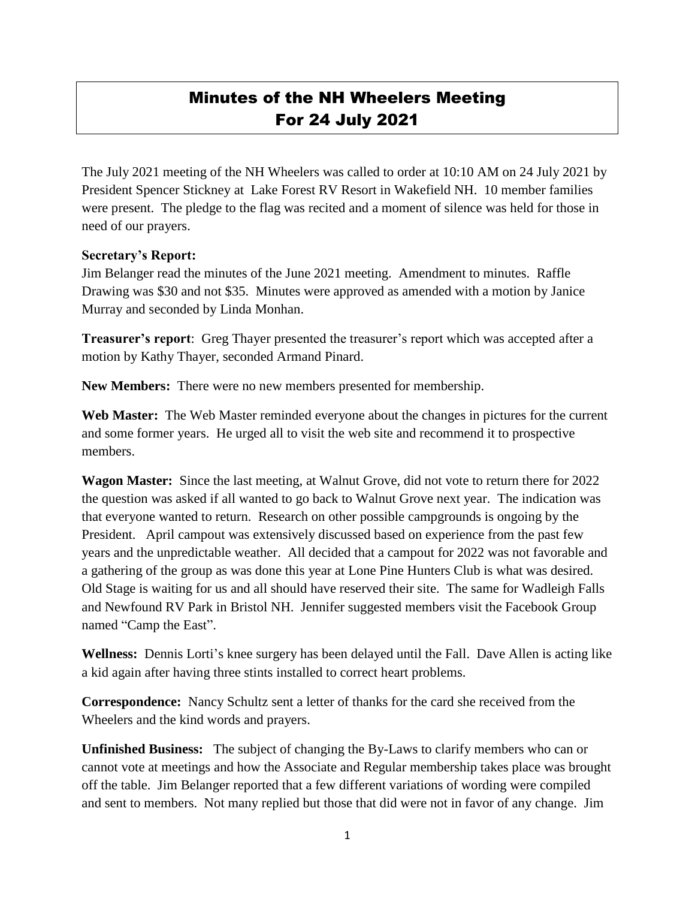## Minutes of the NH Wheelers Meeting For 24 July 2021

The July 2021 meeting of the NH Wheelers was called to order at 10:10 AM on 24 July 2021 by President Spencer Stickney at Lake Forest RV Resort in Wakefield NH. 10 member families were present. The pledge to the flag was recited and a moment of silence was held for those in need of our prayers.

## **Secretary's Report:**

Jim Belanger read the minutes of the June 2021 meeting. Amendment to minutes. Raffle Drawing was \$30 and not \$35. Minutes were approved as amended with a motion by Janice Murray and seconded by Linda Monhan.

**Treasurer's report**: Greg Thayer presented the treasurer's report which was accepted after a motion by Kathy Thayer, seconded Armand Pinard.

**New Members:** There were no new members presented for membership.

**Web Master:** The Web Master reminded everyone about the changes in pictures for the current and some former years. He urged all to visit the web site and recommend it to prospective members.

**Wagon Master:** Since the last meeting, at Walnut Grove, did not vote to return there for 2022 the question was asked if all wanted to go back to Walnut Grove next year. The indication was that everyone wanted to return. Research on other possible campgrounds is ongoing by the President. April campout was extensively discussed based on experience from the past few years and the unpredictable weather. All decided that a campout for 2022 was not favorable and a gathering of the group as was done this year at Lone Pine Hunters Club is what was desired. Old Stage is waiting for us and all should have reserved their site. The same for Wadleigh Falls and Newfound RV Park in Bristol NH. Jennifer suggested members visit the Facebook Group named "Camp the East".

**Wellness:** Dennis Lorti's knee surgery has been delayed until the Fall. Dave Allen is acting like a kid again after having three stints installed to correct heart problems.

**Correspondence:** Nancy Schultz sent a letter of thanks for the card she received from the Wheelers and the kind words and prayers.

**Unfinished Business:** The subject of changing the By-Laws to clarify members who can or cannot vote at meetings and how the Associate and Regular membership takes place was brought off the table. Jim Belanger reported that a few different variations of wording were compiled and sent to members. Not many replied but those that did were not in favor of any change. Jim